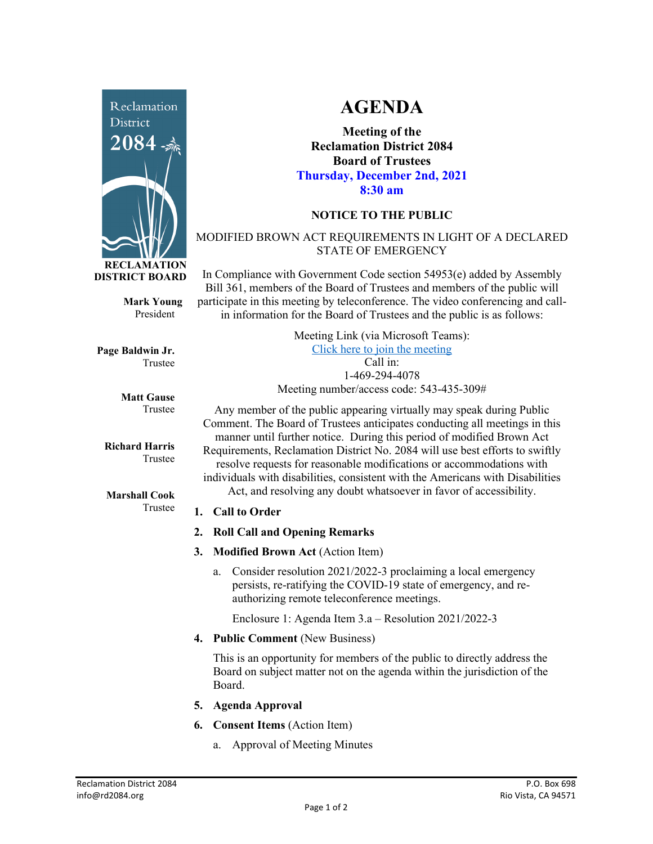

**Mark Young** President

**Page Baldwin Jr.** Trustee

> **Matt Gause** Trustee

**Richard Harris** Trustee

**Marshall Cook** Trustee

# **AGENDA**

**Meeting of the Reclamation District 2084 Board of Trustees Thursday, December 2nd, 2021 8:30 am**

## **NOTICE TO THE PUBLIC**

#### MODIFIED BROWN ACT REQUIREMENTS IN LIGHT OF A DECLARED STATE OF EMERGENCY

In Compliance with Government Code section 54953(e) added by Assembly Bill 361, members of the Board of Trustees and members of the public will participate in this meeting by teleconference. The video conferencing and callin information for the Board of Trustees and the public is as follows:

| Meeting Link (via Microsoft Teams):      |
|------------------------------------------|
| Click here to join the meeting           |
| $Call$ in:                               |
| 1-469-294-4078                           |
| Meeting number/access code: 543-435-309# |

Any member of the public appearing virtually may speak during Public Comment. The Board of Trustees anticipates conducting all meetings in this manner until further notice. During this period of modified Brown Act Requirements, Reclamation District No. 2084 will use best efforts to swiftly resolve requests for reasonable modifications or accommodations with individuals with disabilities, consistent with the Americans with Disabilities Act, and resolving any doubt whatsoever in favor of accessibility.

#### **1. Call to Order**

- **2. Roll Call and Opening Remarks**
- **3. Modified Brown Act** (Action Item)
	- a. Consider resolution 2021/2022-3 proclaiming a local emergency persists, re-ratifying the COVID-19 state of emergency, and reauthorizing remote teleconference meetings.

Enclosure 1: Agenda Item 3.a – Resolution 2021/2022-3

**4. Public Comment** (New Business)

This is an opportunity for members of the public to directly address the Board on subject matter not on the agenda within the jurisdiction of the Board.

- **5. Agenda Approval**
- **6. Consent Items** (Action Item)
	- a. Approval of Meeting Minutes